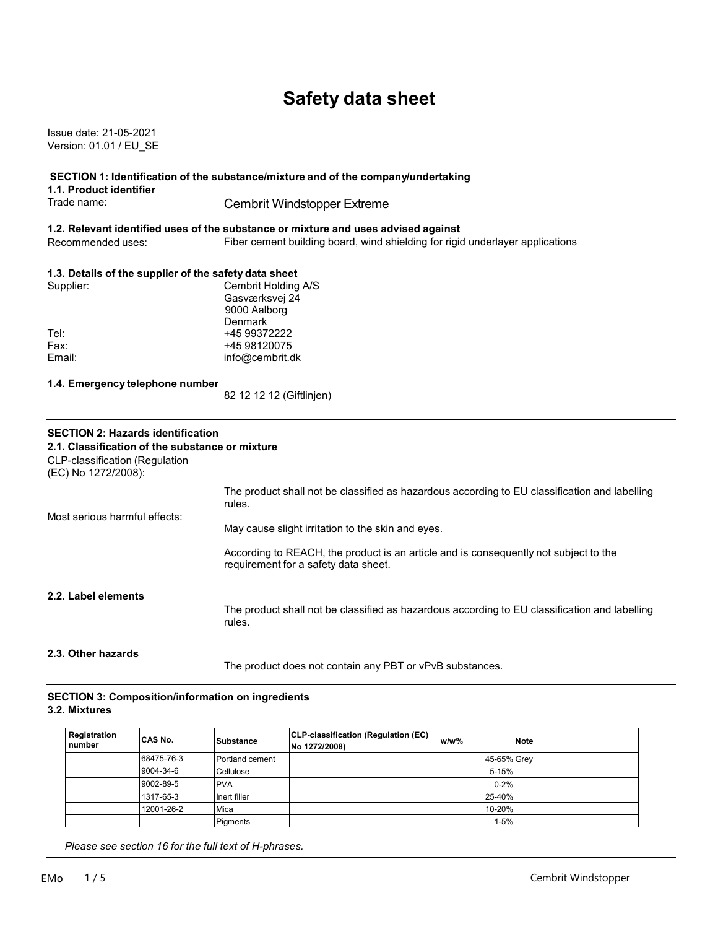# **Safety data sheet**

Issue date: 21-05-2021 Version: 01.01 / EU\_SE

|                                                       | SECTION 1: Identification of the substance/mixture and of the company/undertaking                                            |
|-------------------------------------------------------|------------------------------------------------------------------------------------------------------------------------------|
| 1.1. Product identifier<br>Trade name:                |                                                                                                                              |
|                                                       | <b>Cembrit Windstopper Extreme</b>                                                                                           |
|                                                       | 1.2. Relevant identified uses of the substance or mixture and uses advised against                                           |
| Recommended uses:                                     | Fiber cement building board, wind shielding for rigid underlayer applications                                                |
| 1.3. Details of the supplier of the safety data sheet |                                                                                                                              |
| Supplier:                                             | Cembrit Holding A/S                                                                                                          |
|                                                       | Gasværksvej 24                                                                                                               |
|                                                       | 9000 Aalborg                                                                                                                 |
|                                                       | Denmark                                                                                                                      |
| Tel:<br>Fax:                                          | +45 99372222<br>+45 98120075                                                                                                 |
| Email:                                                | info@cembrit.dk                                                                                                              |
|                                                       |                                                                                                                              |
| 1.4. Emergency telephone number                       |                                                                                                                              |
|                                                       | 82 12 12 12 (Giftlinjen)                                                                                                     |
| <b>SECTION 2: Hazards identification</b>              |                                                                                                                              |
| 2.1. Classification of the substance or mixture       |                                                                                                                              |
| <b>CLP-classification (Regulation</b>                 |                                                                                                                              |
| (EC) No 1272/2008):                                   |                                                                                                                              |
|                                                       | The product shall not be classified as hazardous according to EU classification and labelling                                |
|                                                       | rules.                                                                                                                       |
| Most serious harmful effects:                         |                                                                                                                              |
|                                                       | May cause slight irritation to the skin and eyes.                                                                            |
|                                                       |                                                                                                                              |
|                                                       | According to REACH, the product is an article and is consequently not subject to the<br>requirement for a safety data sheet. |
|                                                       |                                                                                                                              |
| 2.2. Label elements                                   |                                                                                                                              |
|                                                       | The product shall not be classified as hazardous according to EU classification and labelling<br>rules.                      |

#### **2.3. Other hazards**

The product does not contain any PBT or vPvB substances.

#### **SECTION 3: Composition/information on ingredients 3.2. Mixtures**

| Registration<br>number | <b>CAS No.</b> | Substance       | CLP-classification (Regulation (EC)<br>No 1272/2008) | $w/w$ %     | <b>Note</b> |
|------------------------|----------------|-----------------|------------------------------------------------------|-------------|-------------|
|                        | 68475-76-3     | Portland cement |                                                      | 45-65% Grev |             |
|                        | 9004-34-6      | Cellulose       |                                                      | 5-15%       |             |
|                        | 9002-89-5      | <b>PVA</b>      |                                                      | $0 - 2%$    |             |
|                        | 1317-65-3      | Inert filler    |                                                      | 25-40%      |             |
|                        | 12001-26-2     | Mica            |                                                      | 10-20%      |             |
|                        |                | Pigments        |                                                      | $1 - 5%$    |             |

 *Please see section 16 for the full text of H-phrases.*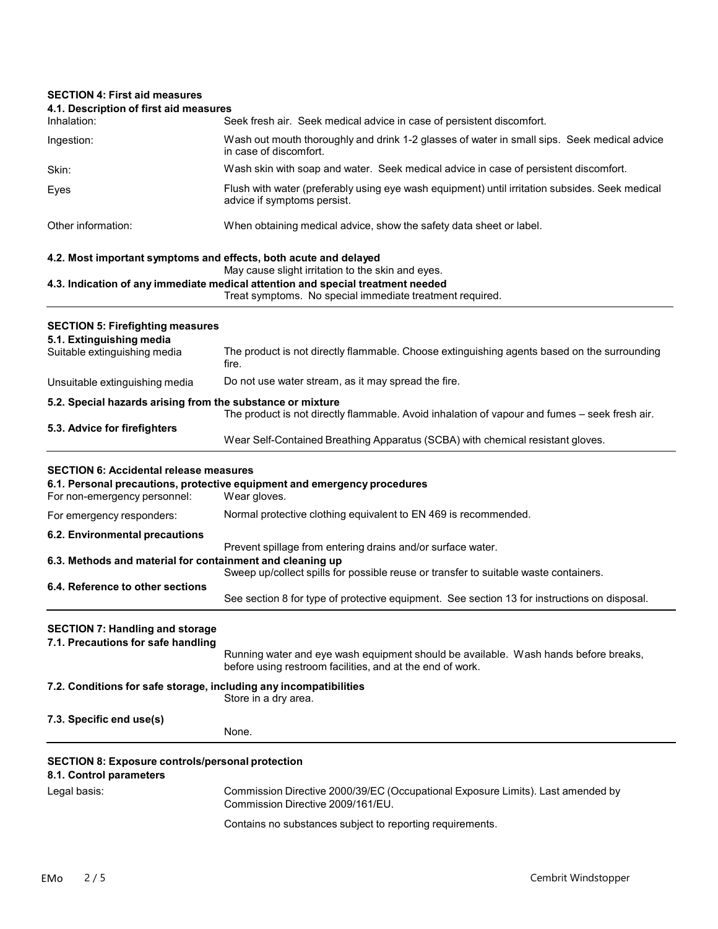## **SECTION 4: First aid measures 4.1. Description of first aid measures** Inhalation: Seek fresh air. Seek medical advice in case of persistent discomfort. Ingestion: Wash out mouth thoroughly and drink 1-2 glasses of water in small sips. Seek medical advice in case of discomfort. Skin: Wash skin with soap and water. Seek medical advice in case of persistent discomfort. Eyes Flush with water (preferably using eye wash equipment) until irritation subsides. Seek medical advice if symptoms persist. Other information: When obtaining medical advice, show the safety data sheet or label. **4.2. Most important symptoms and effects, both acute and delayed** May cause slight irritation to the skin and eyes. **4.3. Indication of any immediate medical attention and special treatment needed** Treat symptoms. No special immediate treatment required. **SECTION 5: Firefighting measures 5.1. Extinguishing media** The product is not directly flammable. Choose extinguishing agents based on the surrounding fire. Unsuitable extinguishing media Do not use water stream, as it may spread the fire. **5.2. Special hazards arising from the substance or mixture** The product is not directly flammable. Avoid inhalation of vapour and fumes – seek fresh air. **5.3. Advice for firefighters** Wear Self-Contained Breathing Apparatus (SCBA) with chemical resistant gloves. **SECTION 6: Accidental release measures 6.1. Personal precautions, protective equipment and emergency procedures** For non-emergency personnel: For emergency responders: Normal protective clothing equivalent to EN 469 is recommended. **6.2. Environmental precautions** Prevent spillage from entering drains and/or surface water. **6.3. Methods and material for containment and cleaning up** Sweep up/collect spills for possible reuse or transfer to suitable waste containers. **6.4. Reference to other sections** See section 8 for type of protective equipment. See section 13 for instructions on disposal. **SECTION 7: Handling and storage 7.1. Precautions for safe handling** Running water and eye wash equipment should be available. Wash hands before breaks, before using restroom facilities, and at the end of work. **7.2. Conditions for safe storage, including any incompatibilities** Store in a dry area. **7.3. Specific end use(s)** None. **SECTION 8: Exposure controls/personal protection 8.1. Control parameters** Legal basis: Commission Directive 2000/39/EC (Occupational Exposure Limits). Last amended by Commission Directive 2009/161/EU. Contains no substances subject to reporting requirements.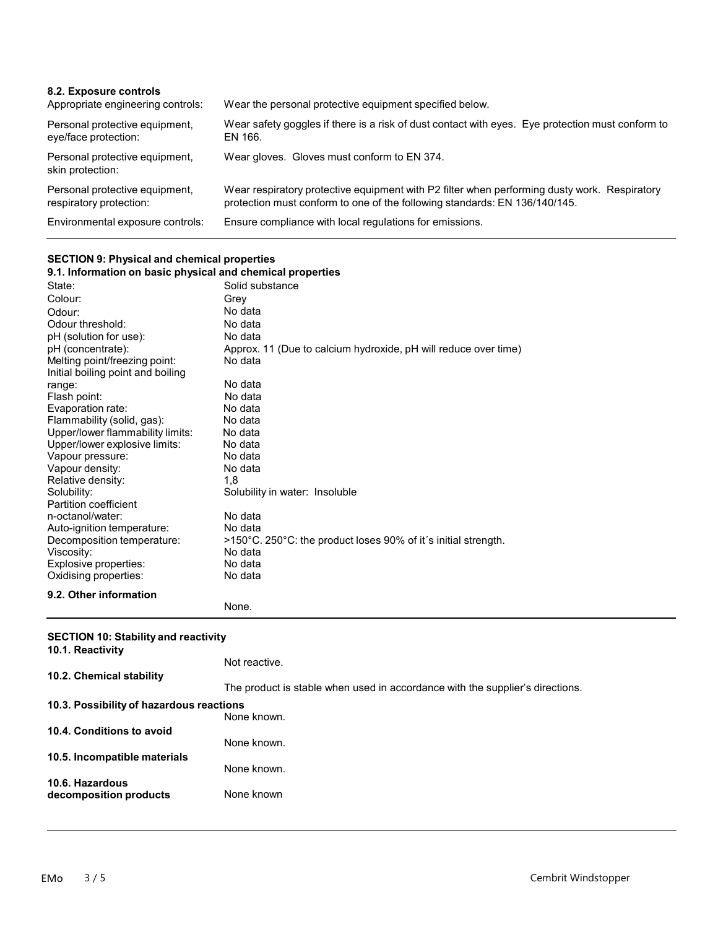| 8.2. Exposure controls<br>Appropriate engineering controls: | Wear the personal protective equipment specified below.                                                                                                                    |
|-------------------------------------------------------------|----------------------------------------------------------------------------------------------------------------------------------------------------------------------------|
| Personal protective equipment,<br>eye/face protection:      | Wear safety goggles if there is a risk of dust contact with eyes. Eye protection must conform to<br>EN 166.                                                                |
| Personal protective equipment,<br>skin protection:          | Wear gloves. Gloves must conform to EN 374.                                                                                                                                |
| Personal protective equipment,<br>respiratory protection:   | Wear respiratory protective equipment with P2 filter when performing dusty work. Respiratory<br>protection must conform to one of the following standards: EN 136/140/145. |
| Environmental exposure controls:                            | Ensure compliance with local regulations for emissions.                                                                                                                    |

## **SECTION 9: Physical and chemical properties**

| 9.1. Information on basic physical and chemical properties |                                                                 |
|------------------------------------------------------------|-----------------------------------------------------------------|
| State:                                                     | Solid substance                                                 |
| Colour:                                                    | Grey                                                            |
| Odour:                                                     | No data                                                         |
| Odour threshold:                                           | No data                                                         |
| pH (solution for use):                                     | No data                                                         |
| pH (concentrate):                                          | Approx. 11 (Due to calcium hydroxide, pH will reduce over time) |
| Melting point/freezing point:                              | No data                                                         |
| Initial boiling point and boiling                          |                                                                 |
| range:                                                     | No data                                                         |
| Flash point:                                               | No data                                                         |
| Evaporation rate:                                          | No data                                                         |
| Flammability (solid, gas):                                 | No data                                                         |
| Upper/lower flammability limits:                           | No data                                                         |
| Upper/lower explosive limits:                              | No data                                                         |
| Vapour pressure:                                           | No data                                                         |
| Vapour density:                                            | No data                                                         |
| Relative density:                                          | 1.8                                                             |
| Solubility:                                                | Solubility in water: Insoluble                                  |
| Partition coefficient                                      |                                                                 |
| n-octanol/water:                                           | No data                                                         |
| Auto-ignition temperature:                                 | No data                                                         |
| Decomposition temperature:                                 | >150°C. 250°C: the product loses 90% of it's initial strength.  |
| Viscosity:                                                 | No data                                                         |
| Explosive properties:                                      | No data                                                         |
| Oxidising properties:                                      | No data                                                         |
| 9.2. Other information                                     |                                                                 |
|                                                            | None.                                                           |

#### **SECTION 10: Stability and reactivity**

| 10.1. Reactivity                         |                                                                               |
|------------------------------------------|-------------------------------------------------------------------------------|
|                                          | Not reactive.                                                                 |
| 10.2. Chemical stability                 | The product is stable when used in accordance with the supplier's directions. |
| 10.3. Possibility of hazardous reactions | None known.                                                                   |
| 10.4. Conditions to avoid                |                                                                               |
| 10.5. Incompatible materials             | None known.                                                                   |
| 10.6. Hazardous                          | None known.                                                                   |
| decomposition products                   | None known                                                                    |
|                                          |                                                                               |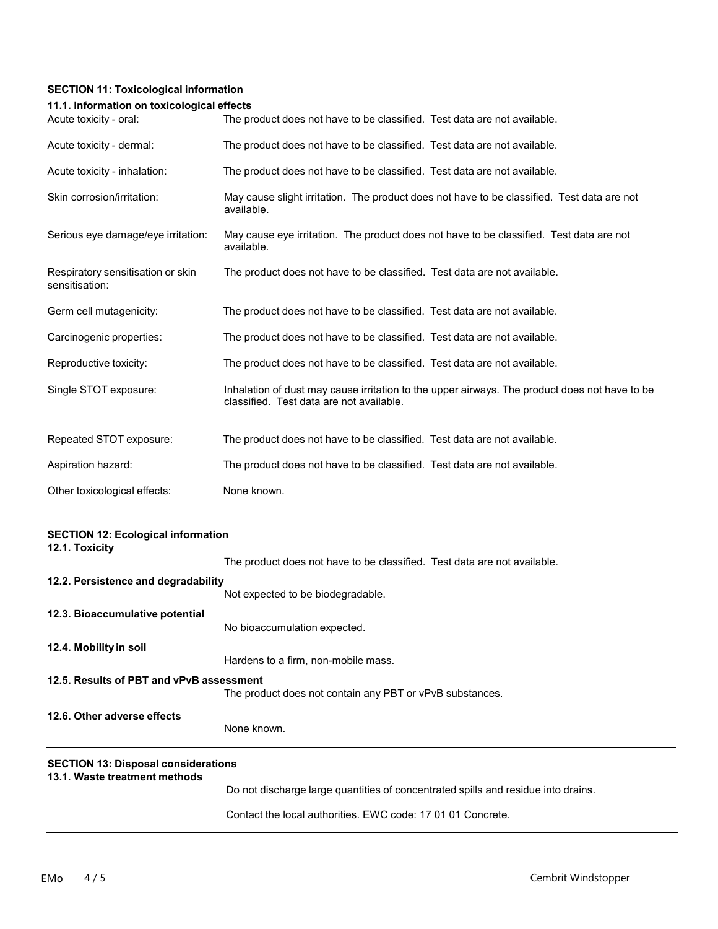## **SECTION 11: Toxicological information**

### **11.1. Information on toxicological effects**

| Acute toxicity - oral:                              | The product does not have to be classified. Test data are not available.                                                                  |
|-----------------------------------------------------|-------------------------------------------------------------------------------------------------------------------------------------------|
| Acute toxicity - dermal:                            | The product does not have to be classified. Test data are not available.                                                                  |
| Acute toxicity - inhalation:                        | The product does not have to be classified. Test data are not available.                                                                  |
| Skin corrosion/irritation:                          | May cause slight irritation. The product does not have to be classified. Test data are not<br>available.                                  |
| Serious eye damage/eye irritation:                  | May cause eye irritation. The product does not have to be classified. Test data are not<br>available.                                     |
| Respiratory sensitisation or skin<br>sensitisation: | The product does not have to be classified. Test data are not available.                                                                  |
| Germ cell mutagenicity:                             | The product does not have to be classified. Test data are not available.                                                                  |
| Carcinogenic properties:                            | The product does not have to be classified. Test data are not available.                                                                  |
| Reproductive toxicity:                              | The product does not have to be classified. Test data are not available.                                                                  |
| Single STOT exposure:                               | Inhalation of dust may cause irritation to the upper airways. The product does not have to be<br>classified. Test data are not available. |
| Repeated STOT exposure:                             | The product does not have to be classified. Test data are not available.                                                                  |
| Aspiration hazard:                                  | The product does not have to be classified. Test data are not available.                                                                  |
| Other toxicological effects:                        | None known.                                                                                                                               |

| <b>SECTION 12: Ecological information</b><br>12.1. Toxicity                 |                                                                                   |
|-----------------------------------------------------------------------------|-----------------------------------------------------------------------------------|
|                                                                             | The product does not have to be classified. Test data are not available.          |
| 12.2. Persistence and degradability                                         |                                                                                   |
|                                                                             | Not expected to be biodegradable.                                                 |
| 12.3. Bioaccumulative potential                                             |                                                                                   |
|                                                                             | No bioaccumulation expected.                                                      |
| 12.4. Mobility in soil                                                      |                                                                                   |
|                                                                             | Hardens to a firm, non-mobile mass.                                               |
| 12.5. Results of PBT and vPvB assessment                                    | The product does not contain any PBT or vPvB substances.                          |
| 12.6. Other adverse effects                                                 |                                                                                   |
|                                                                             | None known.                                                                       |
| <b>SECTION 13: Disposal considerations</b><br>13.1. Waste treatment methods |                                                                                   |
|                                                                             | Do not discharge large quantities of concentrated spills and residue into drains. |
|                                                                             | Contact the local authorities. EWC code: 17 01 01 Concrete.                       |